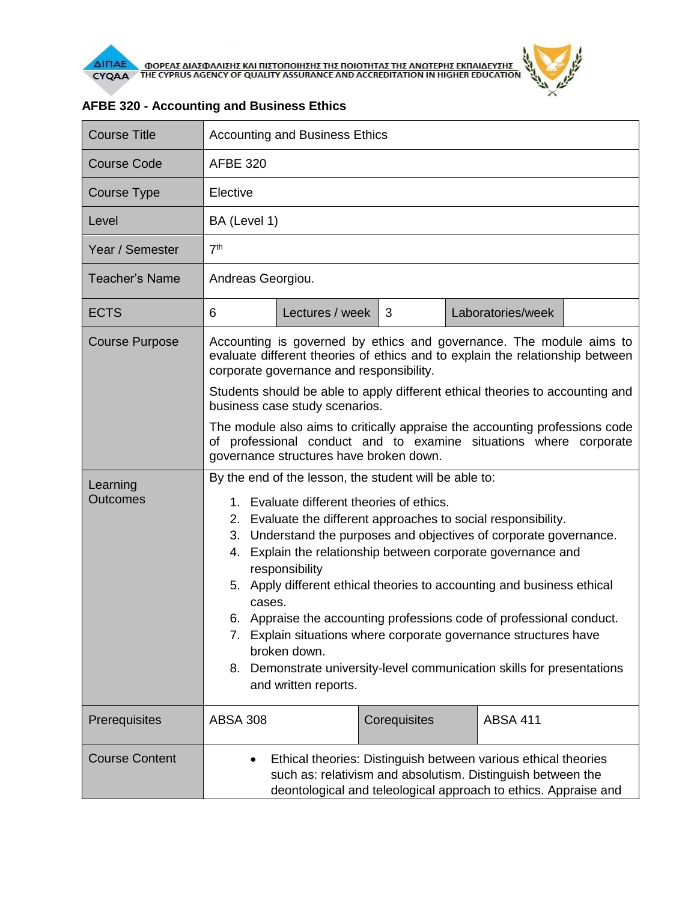

| <b>Course Title</b>         | <b>Accounting and Business Ethics</b>                                                                                                                                                                                                                                                                                                                                                                                                                                                                                                                                                                                                                                              |                 |              |  |                   |  |  |
|-----------------------------|------------------------------------------------------------------------------------------------------------------------------------------------------------------------------------------------------------------------------------------------------------------------------------------------------------------------------------------------------------------------------------------------------------------------------------------------------------------------------------------------------------------------------------------------------------------------------------------------------------------------------------------------------------------------------------|-----------------|--------------|--|-------------------|--|--|
| <b>Course Code</b>          | <b>AFBE 320</b>                                                                                                                                                                                                                                                                                                                                                                                                                                                                                                                                                                                                                                                                    |                 |              |  |                   |  |  |
| Course Type                 | Elective                                                                                                                                                                                                                                                                                                                                                                                                                                                                                                                                                                                                                                                                           |                 |              |  |                   |  |  |
| Level                       | BA (Level 1)                                                                                                                                                                                                                                                                                                                                                                                                                                                                                                                                                                                                                                                                       |                 |              |  |                   |  |  |
| Year / Semester             | 7 <sup>th</sup>                                                                                                                                                                                                                                                                                                                                                                                                                                                                                                                                                                                                                                                                    |                 |              |  |                   |  |  |
| <b>Teacher's Name</b>       | Andreas Georgiou.                                                                                                                                                                                                                                                                                                                                                                                                                                                                                                                                                                                                                                                                  |                 |              |  |                   |  |  |
| <b>ECTS</b>                 | 6                                                                                                                                                                                                                                                                                                                                                                                                                                                                                                                                                                                                                                                                                  | Lectures / week | 3            |  | Laboratories/week |  |  |
| <b>Course Purpose</b>       | Accounting is governed by ethics and governance. The module aims to<br>evaluate different theories of ethics and to explain the relationship between<br>corporate governance and responsibility.                                                                                                                                                                                                                                                                                                                                                                                                                                                                                   |                 |              |  |                   |  |  |
|                             | Students should be able to apply different ethical theories to accounting and<br>business case study scenarios.                                                                                                                                                                                                                                                                                                                                                                                                                                                                                                                                                                    |                 |              |  |                   |  |  |
|                             | The module also aims to critically appraise the accounting professions code<br>of professional conduct and to examine situations where corporate<br>governance structures have broken down.                                                                                                                                                                                                                                                                                                                                                                                                                                                                                        |                 |              |  |                   |  |  |
| Learning<br><b>Outcomes</b> | By the end of the lesson, the student will be able to:<br>1. Evaluate different theories of ethics.<br>2. Evaluate the different approaches to social responsibility.<br>3. Understand the purposes and objectives of corporate governance.<br>Explain the relationship between corporate governance and<br>4.<br>responsibility<br>5. Apply different ethical theories to accounting and business ethical<br>cases.<br>6. Appraise the accounting professions code of professional conduct.<br>7. Explain situations where corporate governance structures have<br>broken down.<br>8. Demonstrate university-level communication skills for presentations<br>and written reports. |                 |              |  |                   |  |  |
| Prerequisites               | <b>ABSA 308</b>                                                                                                                                                                                                                                                                                                                                                                                                                                                                                                                                                                                                                                                                    |                 | Corequisites |  | <b>ABSA 411</b>   |  |  |
| <b>Course Content</b>       | Ethical theories: Distinguish between various ethical theories<br>$\bullet$<br>such as: relativism and absolutism. Distinguish between the<br>deontological and teleological approach to ethics. Appraise and                                                                                                                                                                                                                                                                                                                                                                                                                                                                      |                 |              |  |                   |  |  |

## **AFBE 320 - Accounting and Business Ethics**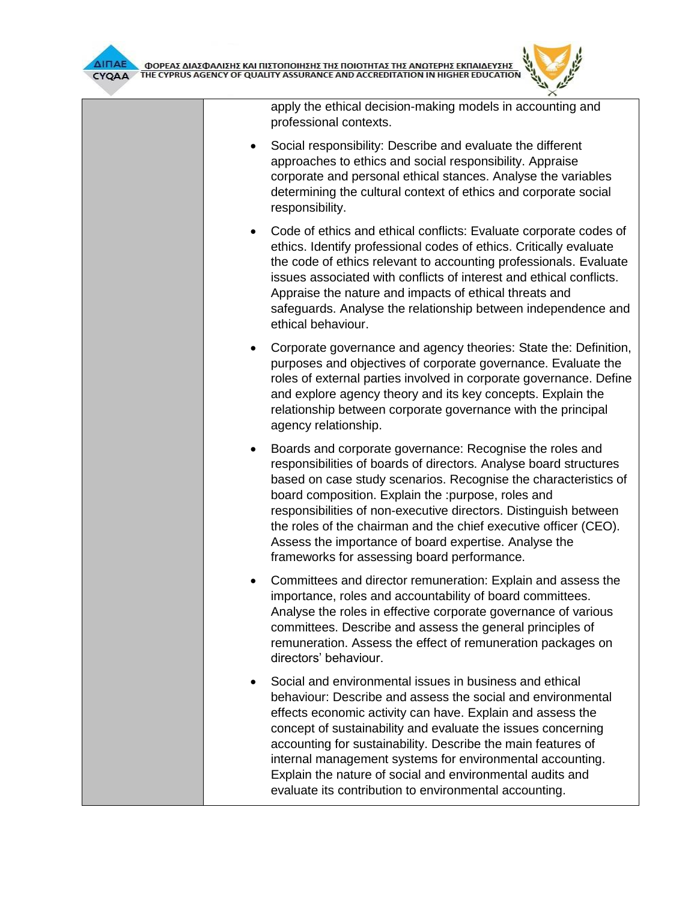

apply the ethical decision-making models in accounting and professional contexts.

- Social responsibility: Describe and evaluate the different approaches to ethics and social responsibility. Appraise corporate and personal ethical stances. Analyse the variables determining the cultural context of ethics and corporate social responsibility.
- Code of ethics and ethical conflicts: Evaluate corporate codes of ethics. Identify professional codes of ethics. Critically evaluate the code of ethics relevant to accounting professionals. Evaluate issues associated with conflicts of interest and ethical conflicts. Appraise the nature and impacts of ethical threats and safeguards. Analyse the relationship between independence and ethical behaviour.
- Corporate governance and agency theories: State the: Definition, purposes and objectives of corporate governance. Evaluate the roles of external parties involved in corporate governance. Define and explore agency theory and its key concepts. Explain the relationship between corporate governance with the principal agency relationship.
- Boards and corporate governance: Recognise the roles and responsibilities of boards of directors. Analyse board structures based on case study scenarios. Recognise the characteristics of board composition. Explain the :purpose, roles and responsibilities of non-executive directors. Distinguish between the roles of the chairman and the chief executive officer (CEO). Assess the importance of board expertise. Analyse the frameworks for assessing board performance.
- Committees and director remuneration: Explain and assess the importance, roles and accountability of board committees. Analyse the roles in effective corporate governance of various committees. Describe and assess the general principles of remuneration. Assess the effect of remuneration packages on directors' behaviour.
- Social and environmental issues in business and ethical behaviour: Describe and assess the social and environmental effects economic activity can have. Explain and assess the concept of sustainability and evaluate the issues concerning accounting for sustainability. Describe the main features of internal management systems for environmental accounting. Explain the nature of social and environmental audits and evaluate its contribution to environmental accounting.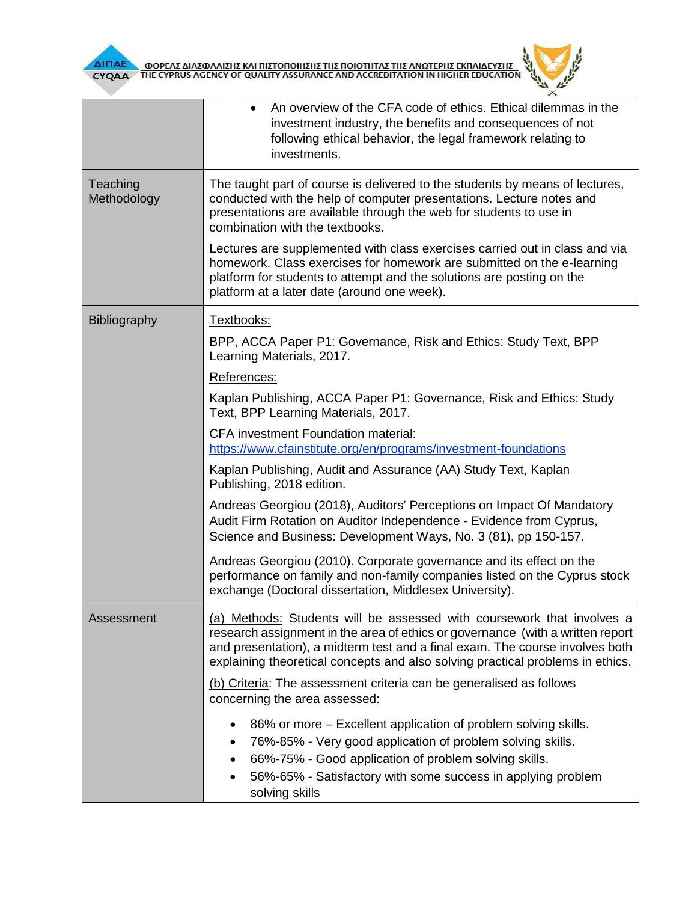

| ΔΙΠΑΕ<br>ΦΟΡΕΑΣ ΔΙΑΣΦΑΛΙΣΗΣ ΚΑΙ ΠΙΣΤΟΠΟΙΗΣΗΣ ΤΗΣ ΠΟΙΟΤΗΤΑΣ ΤΗΣ ΑΝΩΤΕΡΗΣ ΕΚΠΑΙΔΕΥΣΗΣ<br>YPRUS AGENCY OF QUALITY ASSURANCE AND ACCREDITATION IN HIGHER EDUCATION<br>CYQAA |                                                                                                                                                                                                                                                                                                                            |  |  |  |  |
|-------------------------------------------------------------------------------------------------------------------------------------------------------------------------|----------------------------------------------------------------------------------------------------------------------------------------------------------------------------------------------------------------------------------------------------------------------------------------------------------------------------|--|--|--|--|
|                                                                                                                                                                         | An overview of the CFA code of ethics. Ethical dilemmas in the<br>$\bullet$<br>investment industry, the benefits and consequences of not<br>following ethical behavior, the legal framework relating to<br>investments.                                                                                                    |  |  |  |  |
| Teaching<br>Methodology                                                                                                                                                 | The taught part of course is delivered to the students by means of lectures,<br>conducted with the help of computer presentations. Lecture notes and<br>presentations are available through the web for students to use in<br>combination with the textbooks.                                                              |  |  |  |  |
|                                                                                                                                                                         | Lectures are supplemented with class exercises carried out in class and via<br>homework. Class exercises for homework are submitted on the e-learning<br>platform for students to attempt and the solutions are posting on the<br>platform at a later date (around one week).                                              |  |  |  |  |
| Bibliography                                                                                                                                                            | Textbooks:                                                                                                                                                                                                                                                                                                                 |  |  |  |  |
|                                                                                                                                                                         | BPP, ACCA Paper P1: Governance, Risk and Ethics: Study Text, BPP<br>Learning Materials, 2017.                                                                                                                                                                                                                              |  |  |  |  |
|                                                                                                                                                                         | References:                                                                                                                                                                                                                                                                                                                |  |  |  |  |
|                                                                                                                                                                         | Kaplan Publishing, ACCA Paper P1: Governance, Risk and Ethics: Study<br>Text, BPP Learning Materials, 2017.                                                                                                                                                                                                                |  |  |  |  |
|                                                                                                                                                                         | CFA investment Foundation material:<br>https://www.cfainstitute.org/en/programs/investment-foundations                                                                                                                                                                                                                     |  |  |  |  |
|                                                                                                                                                                         | Kaplan Publishing, Audit and Assurance (AA) Study Text, Kaplan<br>Publishing, 2018 edition.                                                                                                                                                                                                                                |  |  |  |  |
|                                                                                                                                                                         | Andreas Georgiou (2018), Auditors' Perceptions on Impact Of Mandatory<br>Audit Firm Rotation on Auditor Independence - Evidence from Cyprus,<br>Science and Business: Development Ways, No. 3 (81), pp 150-157.                                                                                                            |  |  |  |  |
|                                                                                                                                                                         | Andreas Georgiou (2010). Corporate governance and its effect on the<br>performance on family and non-family companies listed on the Cyprus stock<br>exchange (Doctoral dissertation, Middlesex University).                                                                                                                |  |  |  |  |
| Assessment                                                                                                                                                              | (a) Methods: Students will be assessed with coursework that involves a<br>research assignment in the area of ethics or governance (with a written report<br>and presentation), a midterm test and a final exam. The course involves both<br>explaining theoretical concepts and also solving practical problems in ethics. |  |  |  |  |
|                                                                                                                                                                         | (b) Criteria: The assessment criteria can be generalised as follows<br>concerning the area assessed:                                                                                                                                                                                                                       |  |  |  |  |
|                                                                                                                                                                         | 86% or more – Excellent application of problem solving skills.<br>$\bullet$<br>76%-85% - Very good application of problem solving skills.<br>٠<br>66%-75% - Good application of problem solving skills.<br>56%-65% - Satisfactory with some success in applying problem<br>solving skills                                  |  |  |  |  |